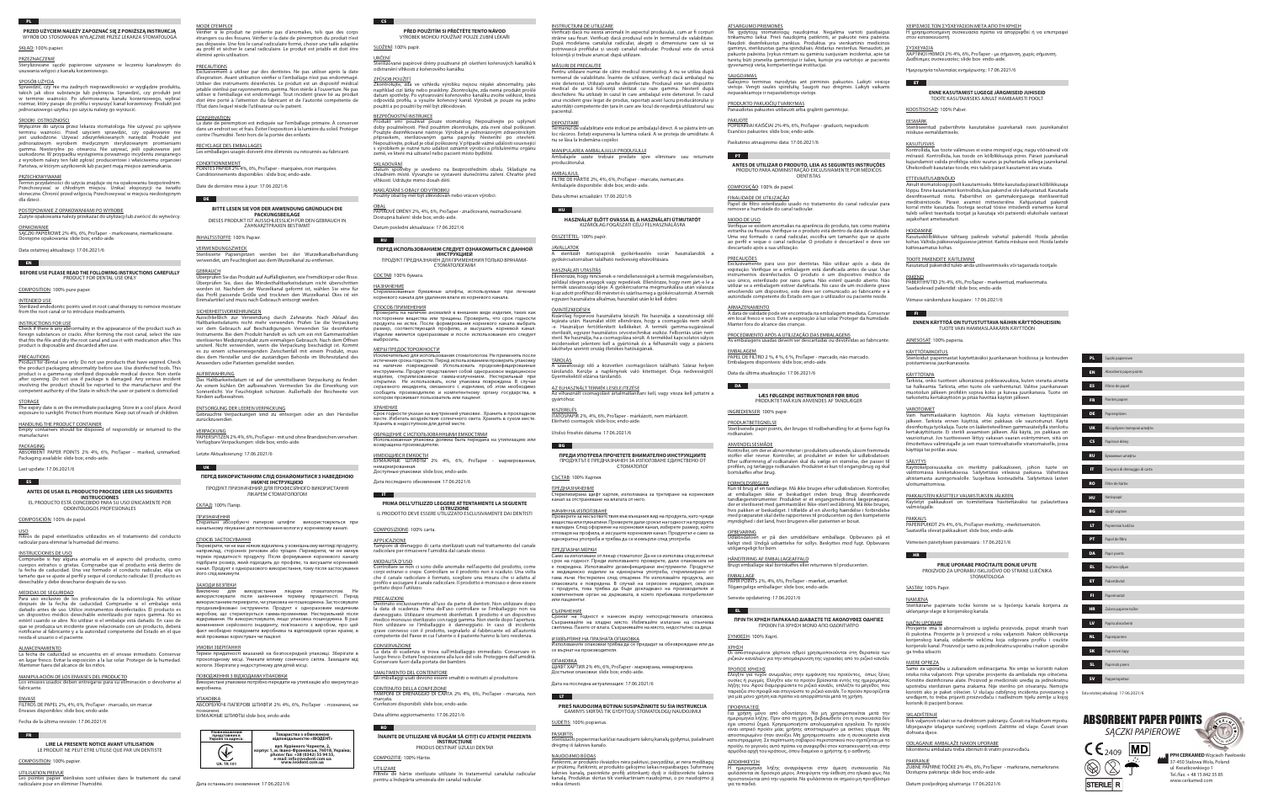**PRZED UŻYCIEM NALEŻY ZAPOZNAĆ SIĘ Z PONIŻSZĄ INSTRUKCJĄ** WYRÓB DO STOSOWANIA WYŁACZNIE PRZEZ LEKARZA STOMATOLOGA

# SKŁAD: 100% papier.

PRZEZNACZENIE

Sterylizowane sączki papierowe używane w leczeniu kanałowym do usuwania wilgoci z kanału korzeniowego.

#### SPOSÓB UŻYCIA

prawdzić, czy nie ma żadnych nieprawidłowości w wyglądzie produktu, takich jak obce substancje lub pęknięcia. Sprawdzić, czy produkt jest w terminie ważności. Po uformowaniu kanału korzeniowego, wybrać rozmiar, który pasuje do profilu i wysuszyć kanał korzeniowy. Produkt jest jednorazowego użytku i po użyciu należy go wyrzucić.

#### ŚRODKI OSTROŻNOŚCI

**EN BEFORE USE PLEASE READ THE FOLLOWING INSTRUCTIONS CAREFULLY**

Wyłącznie do użycia przez lekarza stomatologa. Nie używać po upływie terminu ważności. Przed użyciem sprawdzić, czy opakowanie nie jest uszkodzone. Używać zdezynfekowanych narzędzi. Produkt jest ednorazowym wyrobem medycznym sterylizowanym promieniam gamma. Niesterylne po otwarciu. Nie używać, jeśli opakowanie jest uszkodzone. W przypadku wystąpienia poważnego incydentu związanego z wyrobem należy ten fakt zgłosić producentowi i właściwemu organowi Państwa, w którym użytkownik lub pacjent mają miejsce zamieszkania.

#### **PRZECHOWYWANIE**

INTENDED USE Interilized endodontic points used in root canal therapy to remove moisture

Termin przydatności do użycia znajduje się na opakowaniu bezpośrednim. Przechowywać w chłodnym miejscu. Unikać ekspozycji na światło słoneczne. Chronić przed wilgocią. Przechowywać w miejscu niedostępnym dla dzieci.

# POSTĘPOWANIE Z OPAKOWANIAMI PO WYROBIE

Zużyte opakowania należy przekazać do utylizacji lub zwrócić do wytwórcy.

#### OPAKOWANIE SĄCZKI PAPIEROWE 2% 4%, 6%, ProTaper - markowane, niemarkowane.

Dostępne opakowania: slide box; endo-aide.

# Data ostatniej aktualizacji: 17.06.2021/6

#### <u>USO</u> Filtros de papel esterilizados utilizados en el tratamiento del conducto radicular para eliminar la humedad del mismo.

# PRODUCT FOR DENTAL USE ONLY

COMPOSITION: 100% pure paper.

from the root canal or to introduce medicaments.

# INSTRUCTIONS FOR USE

Check if there is any abnormality in the appearance of the product such as foreign substances or cracks. After forming the root canal, select the size that fits the file and dry the root canal and use it with medication after. This product is disposable and discarded after use.

#### PRECAUTIONS

**ENVASE** FILTROS DE PAPEL 2%, 4%, 6%, ProTaper - marcado, sin marcar Envases disponibles: slide box; endo-aide.

Product for dental use only. Do not use products that have expired. Check the product packaging abnormality before use. Use disinfected tools. This product is a gamma-ray sterilized disposable medical device. Non sterile after opening. Do not use if package is damaged. Any serious incident involving the product should be reported to the manufacturer and the competent authority of the State in which the user or patient is domiciled.

Les pointes papier stérilisées sont utilisées dans le traitement du canal radiculaire pour en éliminer l'humidité.

#### STORAGE

The expiry date is on the immediate packaging. Store in a cool place. Avoid exposure to sunlight. Protect from moisture. Keep out of reach of children.

#### HANDLING THE PRODUCT CONTAINER

Empty containers should be disposed of responsibly or returned to the manufacturer.

#### PACKAGING

ABSORBENT PAPER POINTS 2% 4%, 6%, ProTaper – marked, unmarked. Packaging available: slide box; endo-aide.

## Last update: 17.06.2021/6

ES<sup>1</sup>

#### **ANTES DE USAR EL PRODUCTO PROCEDE LEER LAS SIGUIENTES INSTRUCCIONES**

EL PRODUCTO ESTÁ CONCEBIDO PARA SU USO ÚNICAMENTE POR ODONTÓLOGOS PROFESIONALES

# COMPOSICIÓN: 100% de papel.

#### rilisierte Papierspitzen werden bei der Wurzelkanalbehandlung verwendet, um Feuchtigkeit aus dem Wurzelkanal zu entfernen.

#### INSTRUCCIONES DE USO

Compruebe si hay alguna anomalía en el aspecto del producto, como cuerpos extraños o grietas. Compruebe que el producto está dentro de la fecha de caducidad. Una vez formado el conducto radicular, elija un tamaño que se ajuste al perfil y seque el conducto radicular. El producto es desechable y debe desecharse después de su uso.

#### MEDIDAS DE SEGURIDAD

Para uso exclusivo de los profesionales de la odontología. No utilizar después de la fecha de caducidad. Compruebe si el embalaje está dañado antes de uso. Utilice instrumentos desinfectados. El producto es un dispositivo médico desechable esterilizado por rayos gamma. No es estéril cuando se abre. No utilizar si el embalaje está dañado. En caso de que se produzca un incidente grave relacionado con un producto, deberá notificarse al fabricante y a la autoridad competente del Estado en el que resida el usuario o el paciente.

#### ALMACENAMIENTO

La fecha de caducidad se encuentra en el envase inmediato. Conservar en lugar fresco. Evitar la exposición a la luz solar. Proteger de la humedad. Mantener fuera del alcance de los niños.

#### MANIPULACIÓN DE LOS ENVASES DEL PRODUCTO Los envases usados deben entregarse para su eliminación o devolverse al fabricante.

FR **FR** 

# Fecha de la última revisión: 17.06.2021/6

#### **LIRE LA PRESENTE NOTICE AVANT UTILISATION** LE PRODUIT NE PEUT ETRE UTILISE QUE PAR UN DENTISTE

COMPOSITION: 100% papier.

UTILISATION PREVUE

### MODE D'EMPLOI

Vérifier si le produit ne présente pas d'anomalies, tels que des corps étrangers ou des fissures. Vérifier si la date de péremption du produit n'est pas dépassée. Une fois le canal radiculaire formé, choisir une taille adaptée au profil et sécher le canal radiculaire. Le produit est jetable et doit être éliminé après utilisation.

#### **PRECAUTIONS**

<u>SKLADOVANI</u><br>Datum spotřeby je uvedeno na bezprostředním obalu. Skladujte na chladném místě. Vyvarujte se vystavení slunečnímu záření. Chraňte před vlhkostí. Udržujte mimo dosah dětí.

# SLOŽENÍ: 100% papír.

Exclusivement à utiliser par des dentistes. Ne pas utiliser après la date d'expiration. Avant utilisation vérifier si l'emballage n'est pas endommagé. Utiliser des instruments désinfectés. Le produit est un dispositif médical jetable stérilisé par rayonnements gamma. Non stérile à l'ouverture. Ne pas utiliser si l'emballage est endommagé. Tout incident grave lié au produit doit être porté à l'attention du fabricant et de l'autorité compétente de l'État dans lequel réside l'utilisateur ou le patient.

#### CONSERVATION

La date de péremption est indiquée sur l'emballage primaire. À conserver dans un endroit sec et frais. Éviter l'exposition à la lumière du soleil. Protéger contre l'humidité. Tenir hors de la portée des enfants.

# RECYCLAGE DES EMBALLAGES

Les emballages usagés doivent être éliminés ou retournés au fabricant.

#### **CONDITIONNEMENT**

POINTES PAPIER 2% 4%, 6%, ProTaper - marquées, non marquées. Conditionnements disponibles : slide box; endo-aide.

Date de dernière mise à jour: 17.06.2021/6

# **BITTE LESEN SIE VOR DER ANWENDUNG GRÜNDLICH DIE**

**PACKUNGSBEILAGE** DIESES PRODUKT IST AUSSCHLIESSLICH FÜR DEN GEBRAUCH IN ZAHNARZTPRAXEN BESTIMMT

# INHALTSSTOFFE: 100% Papier.

VERWENDUNGSZWECK

#### GEBRAUCH

DE **DE** 

Überprüfen Sie das Produkt auf Auffälligkeiten, wie Fremdkörper oder Risse. Überprüfen Sie, dass das Mindesthaltbarkeitsdatum nicht überschritten worden ist. Nachdem der Wurzelkanal geformt ist, wählen Sie eine für das Profil passende Größe und trocknen den Wurzelkanal. Dies ist ein Einmalartikel und muss nach Gebrauch entsorgt werden.

#### **SICHERHEITSVORKEHRUNGEN**

Ausschließlich zur Verwendung durch Zahnärzte. Nach Ablauf des Haltbarkeitsdatums nicht mehr verwenden. Prüfen Sie die Verpackung vor dem Gebrauch auf Beschädigungen. Verwenden Sie desinfizierte Instrumente. Bei dem Produkt handelt es sich um ein mit Gammastrahlen sterilisiertes Medizinprodukt zum einmaligen Gebrauch. Nach dem Öffnen unsteril. Nicht verwenden, wenn die Verpackung beschädigt ist. Kommt es zu einem schwerwiegenden Zwischenfall mit einem Produkt, muss dies dem Hersteller und der zuständigen Behörde im Wohnsitzland des Anwenders oder Patienten gemeldet werden.

> **ÎNAINTE DE UTILIZARE VĂ RUGĂM SĂ CITIŢI CU ATENŢIE PREZENTA INSTRUCŢIUNE** PRODUS DESTINAT UZULUI DENTAR

#### AUFBEWAHRUNG

Das Haltbarkeitsdatum ist auf der unmittelbaren Verpackung zu finden. An einem kühlen Ort aufbewahren. Vermeiden Sie die Einwirkung von Sonnenlicht. Vor Feuchtigkeit schützen. Außerhalb der Reichweite von Kindern aufbewahren.

#### ENTSORGUNG DER LEEREN VERPACKUNG

pacientul. **DEPOZITARE** 

Termenul de valabilitate este indicat pe ambalajul direct. A se păstra într-un loc răcoros. Evitați expunerea la lumina solară. A se proteia de umiditate. A

Gebrauchte Verpackungen sind zu entsorgen oder an den Hersteller zurückzusenden.

#### **VERPACKUNG**

PAPIERSPITZEN 2% 4%, 6%, ProTaper - mit und ohne Brandzeichen versehen. Verfügbare Verpackungen: slide box; endo-aide.

Letzte Aktualisierung: 17.06.2021/6

# UK

#### **ПЕРЕД ВИКОРИСТАННЯМ СЛІД ОЗНАЙОМИТИСЯ З НАВЕДЕНОЮ НИЖЧЕ ІНСТРУКЦІЄЮ** ПРОДУКТ ПРИЗНАЧЕНИЙ ДЛЯ ПРОФЕСІЙНОГО ВИКОРИСТАННЯ

ЛІКАРЕМ СТОМАТОЛОГОМ

### СКЛАД: 100% Папір.

ПРИЗНАЧЕННЯ Стерильні абсорбуючі паперові штифти використовуються при канальному лікуванні для поглинання вологи у кореневому каналі.

## СПОСІБ ЗАСТОСУВАННЯ

Перевірити, чи не має ніяких відхилень у зовнішньому вигляді продукту, наприклад, сторонніх речовин або тріщин. Перевірити, чи не минув термін придатності продукту. Після формування кореневого каналу підібрати розмір, який підходить до профілю, та висушити кореневий канал. Продукт є одноразового використання, тому після застосування його слід викинути.

#### ЗАХОДИ БЕЗПЕКИ

Виключно для використання лікарем стоматологом. Не використовувати після закінчення терміну придатності. Перед використанням перевірити, чи упаковка не пошкоджена. Застосовувати продезинфіковані інструменти. Продукт є одноразовим медичним виробом, що стерилізується гамма-променями. Нестерильний після відкривання. Не використовувати, якщо упаковка пошкоджена. В разі ння серйозного інциленту, пов'язаного з виробом, про цей факт необхідно повідомити виробника та відповідний орган країни, в якій проживає користувач чи пацієнт.

#### УМОВИ ЗБЕРІГАННЯ

Термін придатності вказаний на безпосередній упаковці. Зберігати в прохолодному місці. Уникати впливу сонячного світла. Захищати від вологи. Зберігати у недоступному для дітей місці.

Срокът на годност е нанесен върху непосредствената опаковка. Съхранявайте на хладно място. Избягвайте излагане на слънчева светлина. Пазете от влага. Съхранявайте на място, недостъпно за дец

#### ПОВОДЖЕННЯ З ВІДХОДАМИ УПАКОВКИ Використані упаковки потрібно передати на утилізацію або звернути до

ИЗХВЪРЛЯНЕ НА ПРАЗНАТА ОПАКОВКА ните опаковки трябва да се предадат за обезвреждане или да

виробника.

## УПАКОВКА

АБСОРБУЮЧІ ПАПЕРОВІ ШТИФТИ 2% 4%, 6%, ProTaper - позначені, не позначені.

# БУМАЖНЫЕ ШТИФТЫ slide box; endo-aide.



# **PŘED POUŽITÍM SI PŘEČTĚTE TENTO NÁVOD** VÝROBEK MOHOU POUŽÍVAT POUZE ZUBNÍ LÉKAŘI

URČENÍ

Sterilizované papírové drény používané při ošetření kořenových kanálků k

odstranění vlhkosti z kořenového kanálku.

ZPŮSOB POUŽITÍ

Zkontrolujte, zda ve vzhledu výrobku nejsou nějaké abnormality, jako například cizí látky nebo praskliny. Zkontrolujte, zda nemá produkt prošlé datum spotřeby. Po vytvarování kořenového kanálku zvolte velikost, která odpovídá profilu, a vysušte kořenový kanál. Výrobek je pouze na jedno

použití a po použití by měl být zlikvidován.

**Galiojimo terminas nurodytas ant pirminės pakuotės. Laikyti vėsioje** vietoje. Vengti saulės spindulių. Saugoti nuo drėgmės. Laikyti vaikams nepasiekiamoje ir nepastebimoje vietoje.

BEZPEČNOSTNÍ INSTRUKCE

# <u>PAKUOTE</u><br>POPIERINIAI KAIŠČIAI 2% 4%, 6%, ProTaper - graduoti, negraduoti. Esančios pakuotės: slide box; endo-aide.

Produkt smí používat pouze stomatolog. Nepoužívejte po uplynutí doby použitelnosti. Před použitím zkontrolujte, zda není obal poškozen. Použijte dezinfikované nástroje. Výrobek je jednorázovým zdravotnickým přípravkem, sterilizovaným gama paprsky. Nesterilní po otevření. Nepoužívejte, pokud je obal poškozený. V případě vážné události související s výrobkem je nutné tuto událost oznámit výrobci a příslušnému orgánu

země, ve které má uživatel nebo pacient místo bydliště.

NAKLÁDÁNÍ S OBALY OD VÝROBKU

Použitý obal by měl být zlikvidován nebo vrácen výrobci.

<u>OBAL</u><br>PAPÍROVÉ DRÉNY 2%, 4%, 6%, ProTaper - značkované, neznačkované.

Dostupná balení: slide box; endo-aide. Datum poslední aktualizace: 17.06.2021/6

RU **N** 

**ПЕРЕД ИСПОЛЬЗОВАНИЕМ СЛЕДУЕТ ОЗНАКОМИТЬСЯ С ДАННОЙ ИНСТРУКЦИЕЙ** ПРОДУКТ ПРЕДНАЗНАЧЕН ДЛЯ ПРИМЕНЕНИЯ ТОЛЬКО ВРАЧАМИ-СТОМАТОЛОГАМИ

СОСТАВ: 100% бумага.

НАЗНАЧЕНИЕ

Стерилизованные бумажные штифты, используемые при лечении

корневого канала для удаления влаги из корневого канала.

СПОСОБ ПРИМЕНЕНИЯ

Проверить на наличие аномалий в внешнем виде изделия, таких как посторонние вещества или трещины. Проверить, что срок годности продукта не истек. После формирования корневого канала выбрать размер, соответствующий профилю, и высушить корневой канал. Изделие является одноразовым и после использования его следует

выбросить.

МЕРЫ ПРЕДОСТОРОЖНОСТИ

Исключительно для использования стоматологом. Не применять после истечения срока годности. Перед использованием проверить упаковку на наличие повреждений. Использовать продезинфицированные инструменты. Продукт представляет собой одноразовое медицинское изделие, стерилизованное гамма-излучением. Нестерильный при открытии. Не использовать, если упаковка повреждена. В случае серьезного инцидента, связанного с изделием, об этом необходимо сообщить производителю и компетентному органу государства, в

> <u>ΤΡΟΠΟΣ ΧΡΗΣΗΣ</u><br>Ελέγξτε για τυχόν ανωμαλίες στην εμφάνιση του προϊόντος, όπως ξένες ουσίες ή ρωγμές. Ελέγξτε εάν το προϊόν βρίσκεται εντός της ημερομηνίας λήξης του. Αφού διαμορφώσετε το ριζικό κανάλι, επιλέξτε το μέγεθος που ταιριάζει στο προφίλ και στεγνώστε το ριζικό κανάλι. Το προϊόν προορίζεται για μία μόνο χρήση και πρέπει να απορρίπτεται μετά τη χρήση.

котором проживает пользователь или пациент.

ХРАНЕНИЕ

Срок годности указан на внутренней упаковке. Хранить в прохладном месте. Избегать воздействия солнечного света. Хранить в сухом месте.

<u>ИМЕЮЩИЕСЯ ЕМКОСТИ</u><br>БУМАЖНЫЕ ШТИФТЫ 2% 4%, 6%, ProTaper - маркированная,

Хранить в недоступном для детей месте.

ОБРАЩЕНИЕ С ИСПОЛЬЗОВАННЫМИ ЕМКОСТЯМИ

возвращена производителю.

немаркированная.

 $\blacksquare$ 

Доступные упаковки: slide box; endo-aide. Дата последнего обновления: 17.06.2021/6

**PRIMA DELL'UTILIZZO LEGGERE ATTENTAMENTE LA SEGUENTE ISTRUZIONE** IL PRODOTTO DEVE ESSERE UTILIZZATO ESCLUSIVAMENTE DAI DENTISTI

COMPOSIZIONE: 100% carta.

APPLICAZIONE

<u>kuse reevise</u><br>Kontrollida, kas toote välimuses ei esine mingeid vigu, nagu võõraineid või mõrasid. Kontrollida, kas toode on kõlblikkusaja piires. Pärast juurekanali kujundamist valida profiiliga sobiv suurus ja puhastada sellega juurekanal. Ühekordselt kasutatav toode, mis tuleb pärast kasutamist ära visata.

Tamponi di drenaggio di carta sterilizzati usati nel trattamento del canale

radicolare per rimuovere l'umidità dal canale stesso.

MODALITÀ D'USO

Controllare se non ci sono delle anomalie nell'aspetto del prodotto, come corpi estranei o crepe. Controllare se il prodotto non è scaduto. Una volta che il canale radicolare è formato, scegliere una misura che si adatta al profilo e asciugare il canale radicolare. Il prodotto è monouso e deve essere

gettato dopo l'utilizzo.

**KÄYTTÖTARKOITUS** Steriloidut paperinastat käytettäväksi juurikanavan hoidossa ja kosteuden poistamisessa juurikanavasta.

#### **KÄYTTÖTAPA**

PRECAUZIONI Destinato esclusivamente all'uso da parte di dentisti. Non utilizzare dopo la data di scadenza. Prima dell'uso controllare se l'imballaggio non sia danneggiato. Utilizzare strumenti disinfettati. Il prodotto è un dispositivo medico monouso sterilizzato con raggi gamma. Non sterile dopo l'apertura. Non utilizzare se l'imballaggio è danneggiato. In caso di incidente grave connesso con il prodotto, segnalarlo al fabbricante ed all'autorità competente del Paese in cui l'utente o il paziente hanno la loro residenza. CONSERVAZIONE La data di scadenza si trova sull'imballaggio immediato. Conservare in luogo fresco. Evitare l'esposizione alla luce del sole. Proteggere dall'umidità. Conservare fuori dalla portata dei bambini.

valmistajalle. **PAKKAUS** 

**HR** 

SMALTIMENTO DEL CONTENITORE

Gli imballaggi usati devono essere smaltiti o restituiti al produttore.

CONTENUTO DELLA CONFEZIONE TAMPONI DI DRENAGGIO DI CARTA 2% 4%, 6%, ProTaper - marcata, non

marcata.

RO **I** 

Confezioni disponibili: slide box; endo-aide. Data ultimo aggiornamento: 17.06.2021/6

COMPOZITIE: 100% Hârtie.

UTILIZARE

Filtrele de hârtie sterilizate utilizate în tratamentul canalului radicular

ованная упаковка должна быть передана на утилизацию или

pentru a îndepărta umezeala din canalul radicular.

INSTRUCȚIUNI DE UTILIZARE

Verificați dacă nu există anomalii în aspectul produsului, cum ar fi corpuri străine sau fisuri. Verificați dacă produsul este în termenul de valabilitate. După modelarea canalului radicular, alegeți o dimensiune care să se potrivească profilului și uscați canalul radicular. Produsul este de unică folosință și trebuie aruncat după utilizare.

> **PPH CERKAMED** Wojciech Pawłowski 37-450 Stalowa Wola, Poland ul. Kwiatkowskiego 1 Tel./fax: + 48 15 842 35 85 www.cerkamed.com

 $CE_{2409}$  MD

STERILE R

MĂSURI DE PRECAUȚIE

Pentru utilizare numai de către medicul stomatolog. A nu se utiliza după termenul de valabilitate. Înainte de utilizare, verificați dacă ambalajul nu este deteriorat. Utilizați unelte dezinfectate. Produsul este un dispozitiv medical de unică folosință sterilizat cu raze gamma. Nesteril după deschidere. Nu utilizați în cazul în care ambalajul este deteriorat. În cazul unui incident grav legat de produs, raportați acest lucru producătorului și autorității competente din țara în care are locul de reședință utilizatorul sau

nu se lăsa la îndemâna copiilor.

MANIPULAREA AMBALAJULUI PRODUSULUI Ambalajele uzate trebuie predate spre eliminare sau returnate

producătorului. AMBALAJUL

 $H$  HU  $\parallel$ 

**JAVALLATOK** 

# FILTRE DE HÂRTIE 2%, 4%, 6%, ProTaper - marcate, nemarcate.

Ambalajele disponibile: slide box; endo-aide.

Data ultimei actualizări: 17.06.2021/6

### **HASZNÁLAT ELŐTT OVASSA EL A HASZNÁLATI ÚTMUTATÓT** KIZÁRÓLAG FOGÁSZATI CÉLÚ FELHASZNÁLÁSRA

ÖSSZETÉTEL: 100% papír.

A sterilizált itatóspapírok gyökérkezelés során használandók a gyökércsatornában található nedvesség eltávolítására.

HASZNÁLATI UTASÍTÁS

Ellenőrizze, hogy nincsenek-e rendellenességek a termék megjelenésében, például idegen anyagok vagy repedések. Ellenőrizze, hogy nem járt-e le a termék szavatossági ideje. A gyökércsatorna megmunkálása után válassza ki az adott profilhoz illő méretet és szárítsa meg a gyökércsatornát. A termék egyszeri használatra alkalmas, használat után ki kell dobni.

ÓVINTÉZKEDÉSEK

Kizárólag fogorvosi használatra készült. Ne használja a szavatossági idő lejárata után. Használat előtt ellenőrizze, hogy a csomagolás nem sérült -e. Használjon fertőtlenített kellékeket. A termék gamma-sugárzással sterilizált, egyszer használatos orvostechnikai eszköz. Felbontás után nem steril. Ne használja, ha a csomagolása sérült. A termékkel kapcsolatos súlyos incidenseket jelenteni kell a gyártónak és a felhasználó vagy a páciens lakóhelye szerinti ország illetékes hatóságának.

TÁROLÁS

A szavatossági idő a közvetlen csomagoláson található. Száraz helyen tárolandó. Kerülje a napfénynek való kitettséget. Óvja nedvességtől.

Gyermekektől elzárva tárolandó.

AZ ELHASZNÁLT TERMÉK LESELEJTEZÉSE Az elhasznált csomagolást ártalmatlanítani kell, vagy vissza kell juttatni a

<u>KISZERELÉS</u><br>ITATÓSPAPÍR 2%, 4%, 6%, ProTaper - márkázott, nem márkázott.

gyártóhoz.

 $-$  BG  $-$ 

Elérhető csomagok: slide box; endo-aide.

Utolsó frissítés dátuma: 17.06.2021/6

#### **ПРЕДИ УПОТРЕБА ПРОЧЕТЕТЕ ВНИМАТЕЛНО ИНСТРУКЦИИТЕ** ПРОДУКТЪТ Е ПРЕДНАЗНАЧЕН ЗА ИЗПОЛЗВАНЕ ЕДИНСТВЕНО ОТ СТОМАТОЛОГ

СЪСТАВ: 100% Хартия. ПРЕДНАЗНАЧЕНИЕ

Стерилизирана щифт хартия, използвана за третиране на кореновия канал за отстраняване на влагата от него.

НАЧИН НА ИЗПОЛЗВАНЕ

Проверете за несъответствия във външния вид на продукта, като чужди вещества или пукнатини. Проверете дали срокът на годност на продукта е валиден. След оформяне на кореновия канал, изберете размер, койт отговаря на профила, и изсушете кореновия канал. Продуктът е само за еднократна употреба и трябва да се изхвърли след употреба.

ПРЕДПАЗНИ МЕРКИ

Само за използване от лекар стоматолог. Да не се използва след изтекъл срок на годност. Преди използването проверете, дали опаковката не е повредена. Използвайте дезинфекцирани инструменти. Продуктът е медицинско изделие за еднократна употреба, стерилизирано от гама лъчи. Нестерилен след отваряне. Не използвайте продукта, ако опаковката е повредена. В случай на сериозен инцидент, свързан с продукта, това трябва да бъде докладвано на производителя и компетентния орган на държавата, в която пребивава потребителят

или пациентът. СЪХРАНЕНИЕ

l un l

**PASKIRTIS** 

се върнат на производителя.

ОПАКОВКА ЩИФТ ХАРТИЯ 2% 4%, 6%, ProTaper - маркирана, немаркирана.

Достъпни опаковки: slide box; endo-aide.

Дата на последна актуализация: 17.06.2021/6

#### **PRIEŠ NAUDOJIMĄ BŪTINAI SUSIPAŽINKITE SU ŠIA INSTRUKCIJA** GAMINYS SKIRTAS TIK GYDYTOJŲ STOMATOLOGŲ NAUDOJIMUI

SUDĖTIS: 100% popierius.

Sterilizuoti popieriniai kaiščiai naudojami šaknų kanalų gydymui, pašalinant

drėgmę iš šaknies kanalo. NAUDOJIMO BŪDAS

Patikrinti, ar produkto išvaizdos nėra pakitusi, pavyzdžiui, ar nėra medžiagų ar įtrūkimų. Patikrinti, ar produkto galiojimo laikas nepasibaigęs. Suformavę šaknies kanalą, pasirinkite profilį atitinkantį dydį ir išdžiovinkite šaknies kanalą. Produktas skirtas tik vienkartiniam naudojimui, o po naudojimo jį

reikia išmesti.

## ATSARGUMO PRIEMONĖS

Tik gydytojų stomatologų naudojimui. Negalima vartoti pasibaigus tinkamumo laikui. Prieš naudojimą patikrinti, ar pakuotė nėra pažeista. Naudoti dezinfekuotus įrankius. Produktas yra vienkartinis medicinos gaminys, sterilizuotas gama spinduliais. Atidarius nesterilus. Nenaudoti, jei otė pažeista. Įvykus rimtam su gaminiu susijusiam incidentui, apie tai turėtų būti pranešta gamintojui ir šalies, kurioje yra vartotojo ar paciento gyvenamoji vieta, kompetentingai institucijai.

### SAUGOJIMAS

PRODUKTO PAKUOČIŲ TVARKYMAS Panaudotas pakuotes utilizuoti arba grąžinti gamintojui.

Paskutinio atnaujinimo data: 17.06.2021/6

PT |

#### **ANTES DE UTILIZAR O PRODUTO, LEIA AS SEGUINTES INSTRUÇÕES** PRODUTO PARA ADMINISTRAÇÃO EXCLUSIVAMENTE POR MÉDICOS DENTISTAS

COMPOSIÇÃO: 100% de papel.

#### FINALIDADE DE UTILIZAÇÃO Papel de filtro esterilizado usado no tratamento do canal radicular para remover a humidade do canal radicular.

MODO DE USO Verifique se existem anomalias na aparência do produto, tais como matéria estranha ou fissuras. Verifique se o produto está dentro da data de validade. Uma vez formado o canal radicular, escolha um tamanho que se ajuste ao perfil e seque o canal radicular. O produto é descartável e deve ser descartado após a sua utilização.

# PRECAUÇÕES

Exclusivamente para uso por dentistas. Não utilizar após a data de expiração. Verifique se a embalagem está danificada antes de usar. Usar instrumentos desinfectados. O produto é um dispositivo médico de uso único, esterilizado por raios gama. Não estéril quando aberto. Não utilizar se a embalagem estiver danificada. No caso de um incidente grave envolvendo um dispositivo, este deve ser comunicado ao fabricante e à autoridade competente do Estado em que o utilizador ou paciente reside.

# ARMAZENAMENTO

A data de validade pode ser encontrada na embalagem imediata. Conservar em local fresco e seco. Evite a exposição à luz solar. Proteger da humidade. Manter fora do alcance das crianças.

PROCEDIMENTO APÓS A UTILIZAÇÃO DAS EMBALAGENS As embalagens usadas devem ser descartadas ou devolvidas ao fabricante.

DA **DA** 

EMBALAGEM PAPEL DE FILTRO 2 %, 4 %, 6 %, ProTaper - marcado, não marcado. Embalagens disponíveis: slide box; endo-aide.

Data da última atualização: 17.06.2021/6

### **LÆS FØLGENDE INSTRUKTIONER FØR BRUG** PRODUKTET MÅ KUN ANVENDES AF TANDLÆGER

INGREDIENSER: 100% papir.

#### PRODUKTBETEGNELSE

Steriliserede papir points, der bruges til rodbehandling for at fjerne fugt fra rodkanalen.

#### ANVENDELSESMÅDE

Kontroller, om der er abnormiteter i produktets udseende, såsom fremmede stoffer eller revner. Kontroller, at produktet er inden for udløbsdatoen. Efter udformning af rodkanalen skal du vælge en størrelse, der passer til profilen, og tørlægge rodkanalen. Produktet er kun til engangsbrug og skal bortskaffes efter brug.

# FORHOLDSREGLER

Kun til brug af en tandlæge. Må ikke bruges efter udløbsdatoen. Kontroller, at emballagen ikke er beskadiget inden brug. Brug desinficerede tandlægeinstrumenter. Produktet er et engangsmedicinsk lægepræparat, der er steriliseret med gammastråler. Ikke-steril ved åbning. Må ikke bruges, hvis pakken er beskadiget. I tilfælde af en alvorlig hændelse i forbindelse med præparatet skal dette rapporteres til producenten og den kompetente myndighed i det land, hvor brugeren eller patienten er bosat.

OPBEVARING Udløbsdatoen er på den umiddelbare emballage. Opbevares på et køligt sted. Undgå udsættelse for sollys. Beskyttes mod fugt. Opbevares utilgængeligt for børn.

#### HÅNDTERING AF EMBALLAGEAFFALD Brugt emballage skal bortskaffes eller returneres til producenten.

EMBALLAGE PAPIR POINTS 2%, 4%, 6%, ProTaper - mærket, umærket. Tilgængelige emballager: slide box; endo-aide.

## Seneste opdatering: 17.06.2021/6

 $E$  . Fig. ,  $E$ 

#### **ΠΡΙΝ ΤΗ ΧΡΗΣΗ ΠΑΡΑΚΑΛΩ ΔΙΑΒΑΣΤΕ ΤΙΣ ΑΚΟΛΟΥΘΕΣ ΟΔΗΓΙΕΣ** ΠΡΟΙΟΝ ΓΙΑ ΧΡΗΣΗ ΜΟΝΟ ΑΠΟ ΟΔΟΝΤΙΑΤΡΟ

ΣΥΝΘΕΣΗ: 100% Χαρτί.

ΧΡΗΣΗ Οι αποστειρωμένοι χάρτινοι ηθμοί χρησιμοποιούνται στη θεραπεία των ριζικών καναλιών για την απομάκρυνση της υγρασίας από το ριζικό κανάλι.

# ΠΡΟΦΥΛΑΞΕΙΣ

Για χρήση μόνο από οδοντίατρο. Να μη χρησιμοποιείται μετά την ημερομηνία λήξης. Πριν από τη χρήση, βεβαιωθείτε ότι η συσκευασία δεν έχει υποστεί ζημιά. Χρησιμοποιήστε απολυμασμένα εργαλεία. Το προϊόν είναι ιατρικό προϊόν μίας χρήσης αποστειρωμένο με ακτίνες γάμμα. Μη αποστειρωμένο όταν ανοίξει. Μη χρησιμοποιείτε εάν η συσκευασία είναι κατεστραμμένη. Σε περίπτωση σοβαρού περιστατικού που σχετίζεται με το προϊόν, το γεγονός αυτό πρέπει να αναφερθεί στον κατασκευαστή και στην αρμόδια αρχή του κράτους, όπου διαμένει ο χρήστης ή ο ασθενής.

#### ΑΠΟΘΗΚΕΥΣΗ

Η ημερομηνία λήξης αναγράφεται στην άμεση συσκευασία. Να φυλάσσεται σε δροσερό μέρος. Αποφύγετε την έκθεση στο ηλιακό φως. Να προστατεύεται από την υγρασία. Να φυλάσσεται σε σημείο μη προσβάσιμο για τα παιδιά.

ΧΕΙΡΙΣΜΟΣ ΤΩΝ ΣΥΣΚΕΥΑΣΙΩΝ ΜΕΤΑ ΑΠΟ ΤΗ ΧΡΗΣΗ Η χρησιμοποιημένη συσκευασία πρέπει να απορριφθεί ή να επιστραφεί

στον κατασκευαστή.

# ΣΥΣΚΕΥΑΣΙΑ ΧΑΡΤΙΝΟΙ ΗΘΜΟΙ 2% 4%, 6%, ProTaper - με σήμανση, χωρίς σήμανση. Διαθέσιμες συσκευασίες: slide box· endo-aide.

Ημερομηνία τελευταίας ενημέρωσης: 17.06.2021/6

#### **ENNE KASUTAMIST LUGEGE JÄRGMISEID JUHISEID** TOOTE KASUTAMISEKS AINULT HAMBAARSTI POOLT

KOOSTISOSAD: 100% Paber.

## EESMÄRK

Steriliseeritud pabertihvte kasutatakse juurekanali ravis juurekanalist niiskuse eemaldamiseks.

### KASUTUSVIIS

**ET I** 

#### ETTEVAATUSABINÕUD

Ainult stomatoloogi poolt kasutamiseks. Mitte kasutada pärast kõlblikkusaja lõppu. Enne kasutamist kontrollida, kas pakend ei ole kahjustatud. Kasutada desinfitseeritud riistu. Pabertihvt on gammakiirgusega steriliseeritud meditsiinitoode. Pärast avamist mittesteriilne. Kahjustatud pakendi korral mitte kasutada. Tootega seotud tõsise intsidendi esinemise korral tuleb sellest teavitada tootjat ja kasutaja või patsiendi elukohale vastavat asjakohast ametiasutust.

#### HOIDAMINE

Kasutuskõlblikkuse tähtaeg paikneb vahetul pakendil. Hoida jahedas kohas. Vältida päikesevalgusesse jätmist. Kaitsta niiskuse eest. Hoida lastele kättesaamatus kohas.

#### TOOTE PAKENDITE KÄITLEMINE

Kasutatud pakendid tuleb anda utiliseerimiseks või tagastada tootjale.

# **PAKEND**

PABERTIHVTID 2% 4%, 6%, ProTaper - markeeritud, markeerimata. Saadaolevad pakendid: slide box; endo-aide.

Viimase värskenduse kuupäev: 17.06.2021/6

## $F1$

#### **ENNEN KÄYTTÖÄ ON TUTUSTUTTAVA NÄIHIN KÄYTTÖOHJEISIIN:** TUOTE VAIN HAMMASLÄÄKÄRIN KÄYTTÖÖN

AINESOSAT: 100% paperia.

Tarkista, onko tuotteen ulkonäössä poikkeavuuksia, kuten vieraita aineita tai halkeamia. Tarkista, ettei tuote ole vanhentunut. Valitse juurikanavan muotoilun jälkeen profiiliin sopiva koko ja kuivaa juurikanava. Tuote on tarkoitettu kertakäyttöön ja pitää hävittää käytön jälkeen.

### VAROTOIMET

Vain hammaslääkärin käyttöön. Älä käytä viimeisen käyttöpäivän jälkeen. Tarkista ennen käyttöä, ettei pakkaus ole vaurioitunut. Käytä desinfioituja työkaluja. Tuote on lääketieteellinen gammasäteilyllä steriloitu kertakäyttötuote. Ei steriili avaamisen jälkeen. Älä käytä, jos pakkaus on vaurioitunut. Jos tuotteeseen liittyy vakavan vaaran esiintyminen, siitä on ilmoitettava valmistajalle ja sen maan toimivaltaiselle viranomaiselle, jossa käyttäjä tai potilas asuu.

#### SÄILYTYS Käyttökelpoisuusaika on merkitty pakkaukseen, johon tuote on

välittömässä kosketuksessa. Säilytettävä viileässä paikassa. Vältettävä altistamasta auringonvalolle. Suojeltava kosteudelta. Säilytettävä lasten ulottumattomissa. PAKKAUSTEN KÄSITTELY VALMISTUKSEN JÄLKEEN

Käytetyt pakkaukset on toimitettava hävitettäväksi tai palautettava

PAPERIPUIKOT 2% 4%, 6%, ProTaper-merkitty, -merkitsemätön. Saatavilla olevat pakkaukset: slide box; endo-aide. Viimeisen päivityksen päivämäärä : 17.06.2021/6

**PRIJE UPORABE PROČITAJTE DONJE UPUTE** PROIZVOD ZA UPORABU ISKLJUČIVO OD STRANE LIJEČNIKA STOMATOLOGA

NAMJENA

SASTAV: 100% Papir.

Sterilizirane papirnate točke koriste se u liječenju kanala korijena za

uklanjanje vlage iz korijenskog kanala.

NAČIN UPORABE

Provjerite ima li abnormalnosti u izgledu proizvoda, poput stranih tvari ili pukotina. Provjerite je li proizvod u roku valjanosti. Nakon oblikovanja korijenskog kanala, odaberite veličinu koja odgovara profilu i osušite korijenski kanal. Proizvod je samo za jednokratnu uporabu i nakon uporabe

ga treba izbaciti. MJERE OPREZA

Samo za uporabu u zubaraskim ordinacijama. Ne smije se koristiti nakon isteka roka valjanosti. Prije uporabe provjerite da ambalaža nije oštećena. Koristite dezinficirane alate. Proizvod je medicinski uređaj za jednokratnu upotrebu steriliziran gama zrakama. Nije sterilno pri otvaranju. Nemojte koristiti ako je paket oštećen. U slučaju ozbiljnog incidenta povezanog s uređajem, to treba prijaviti proizvođaču i nadležnom tijelu zemlje u kojoj

korisnik ili pacijent borave.

SKLADIŠTENJE

Rok valjanosti nalazi se na direktnom pakiranju. Čuvati na hladnom mjestu. Izbjegavajte izlaganje sunčevoj svjetlosti. Zaštitite od vlage. Čuvati izvan

dohvata djece.

ODLAGANJE AMBALAŽE NAKON UPORABE

Iskorištenu ambalažu treba zbrinuti ili vratiti proizvođaču.

PAKIRANJE

ZUBNE PAPIRNE TOČKE 2% 4%, 6%, ProTaper - markirane, nemarkirane.

Dostupna pakiranja: slide box; endo-aide. Datum posljednjeg ažuriranja: 17.06.2021/6 UK Абсорбуючі паперові штифти

**IT di Tamponi di drenaggio di carta** 

l

EL Χαρτινοι ηθμοι

ET Pabertihvtid

**FI** Paperinastat

**NL Papierpunten** 

SK Papierové čapy **SL** Papirnati poen

**SV** Pappersspetsa

Data ostatniej aktualizacji: 17.06.2021/6

**HR** Zubne papirne točke **LV** Papīra absorbenti

EN Absorbent paper points



ABSORBENT PAPER POINTS *SĄCZKI PAPIEROWE*

**PL Sączki papierowe** 

ES Filtros de papel **FR** Pointes papier

**DE** Papierspitzen

**CS** Papírové drény **RU** Бумажные штифты

RO Filtre de hârtie

**HU** Itatóspapír

**BG** Щифт хартия

**LT** Popieriniai kaiščiai

**PT** Papel de filtro **DA** Papir points